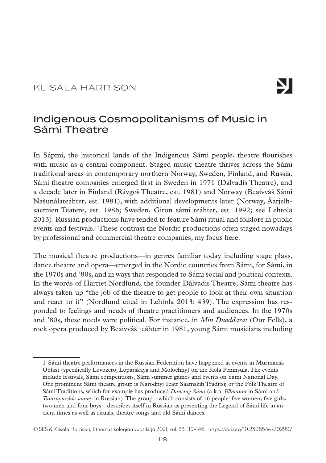## KLISALA HARRISON

# Ŋ

## Indigenous Cosmopolitanisms of Music in Sámi Theatre

In Sápmi, the historical lands of the Indigenous Sámi people, theatre flourishes with music as a central component. Staged music theatre thrives across the Sámi traditional areas in contemporary northern Norway, Sweden, Finland, and Russia. Sámi theatre companies emerged first in Sweden in 1971 (Dálvadis Theatre), and a decade later in Finland (Rávgoš Theatre, est. 1981) and Norway (Beaivváš Sámi Našunálateáhter, est. 1981), with additional developments later (Norway, Åarjelhsaemien Teatere, est. 1986; Sweden, Giron sámi teáhter, est. 1992; see Lehtola 2013). Russian productions have tended to feature Sámi ritual and folklore in public events and festivals.1 These contrast the Nordic productions often staged nowadays by professional and commercial theatre companies, my focus here.

The musical theatre productions—in genres familiar today including stage plays, dance theatre and opera—emerged in the Nordic countries from Sámi, for Sámi, in the 1970s and '80s, and in ways that responded to Sámi social and political contexts. In the words of Harriet Nordlund, the founder Dálvadis Theatre, Sámi theatre has always taken up "the job of the theatre to get people to look at their own situation and react to it" (Nordlund cited in Lehtola 2013: 439). The expression has responded to feelings and needs of theatre practitioners and audiences. In the 1970s and '80s, these needs were political. For instance, in *Min Duoddarat* (Our Fells), a rock opera produced by Beaivváš teáhter in 1981, young Sámi musicians including

<sup>1</sup> Sámi theatre performances in the Russian Federation have happened at events in Murmansk Oblast (specifically Lovozero, Loparskaya and Molochny) on the Kola Peninsula. The events include festivals, Sámi competitions, Sámi summer games and events on Sámi National Day. One prominent Sámi theatre group is Narodnyj Teatr Saamskih Traditsij or the Folk Theatre of Sámi Traditions, which for example has produced *Dancing Sámi* (a.k.a. *Ellmannt* in Sámi and *Tantsuyuschie saamy* in Russian). The group—which consists of 16 people: five women, five girls, two men and four boys—describes itself in Russian as presenting the Legend of Sámi life in ancient times as well as rituals, theatre songs and old Sámi dances.

<sup>©</sup> SES & Klisala Harrison, Etnomusikologian vuosikirja 2021, vol. 33, 119–146. <https://doi.org/10.23985/evk.102997>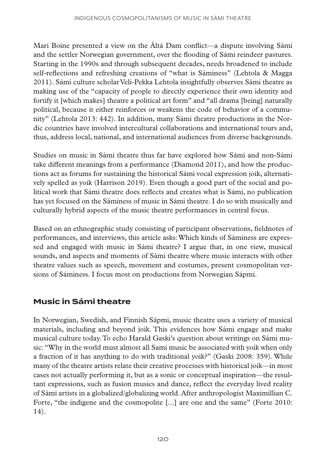Mari Boine presented a view on the Áltá Dam conflict—a dispute involving Sámi and the settler Norwegian government, over the flooding of Sámi reindeer pastures. Starting in the 1990s and through subsequent decades, needs broadened to include self-reflections and refreshing creations of "what is Sáminess" (Lehtola & Magga 2011). Sámi culture scholar Veli-Pekka Lehtola insightfully observes Sámi theatre as making use of the "capacity of people to directly experience their own identity and fortify it [which makes] theatre a political art form" and "all drama [being] naturally political, because it either reinforces or weakens the code of behavior of a community" (Lehtola 2013: 442). In addition, many Sámi theatre productions in the Nordic countries have involved intercultural collaborations and international tours and, thus, address local, national, and international audiences from diverse backgrounds.

Studies on music in Sámi theatre thus far have explored how Sámi and non-Sámi take different meanings from a performance (Diamond 2011), and how the productions act as forums for sustaining the historical Sámi vocal expression joik, alternatively spelled as yoik (Harrison 2019). Even though a good part of the social and political work that Sámi theatre does reflects and creates what is Sámi, no publication has yet focused on the Sáminess of music in Sámi theatre. I do so with musically and culturally hybrid aspects of the music theatre performances in central focus.

Based on an ethnographic study consisting of participant observations, fieldnotes of performances, and interviews, this article asks: Which kinds of Sáminess are expressed and engaged with music in Sámi theatre? I argue that, in one view, musical sounds, and aspects and moments of Sámi theatre where music interacts with other theatre values such as speech, movement and costumes, present cosmopolitan versions of Sáminess. I focus most on productions from Norwegian Sápmi.

## **Music in Sámi theatre**

In Norwegian, Swedish, and Finnish Sápmi, music theatre uses a variety of musical materials, including and beyond joik. This evidences how Sámi engage and make musical culture today. To echo Harald Gaski's question about writings on Sámi music: "Why in the world must almost all Sami music be associated with yoik when only a fraction of it has anything to do with traditional yoik?" (Gaski 2008: 359). While many of the theatre artists relate their creative processes with historical joik—in most cases not actually performing it, but as a sonic or conceptual inspiration—the resultant expressions, such as fusion musics and dance, reflect the everyday lived reality of Sámi artists in a globalized/globalizing world. After anthropologist Maximillian C. Forte, "the indigene and the cosmopolite [...] are one and the same" (Forte 2010: 14).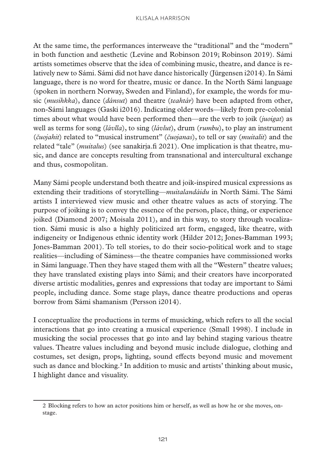At the same time, the performances interweave the "traditional" and the "modern" in both function and aesthetic (Levine and Robinson 2019; Robinson 2019). Sámi artists sometimes observe that the idea of combining music, theatre, and dance is relatively new to Sámi. Sámi did not have dance historically (Jürgensen i2014). In Sámi language, there is no word for theatre, music or dance. In the North Sámi language (spoken in northern Norway, Sweden and Finland), for example, the words for music (*musihkka*), dance (*dánsut*) and theatre (*teahtár*) have been adapted from other, non-Sámi languages (Gaski i2016). Indicating older words—likely from pre-colonial times about what would have been performed then—are the verb to joik (*juoigat*) as well as terms for song (*lávlla*), to sing (*lávlut*), drum (*rumbu*), to play an instrument (*čuojahit*) related to "musical instrument" (*čuojanas*), to tell or say (*muitalit*) and the related "tale" (*muitalus*) (see sanakirja.fi 2021). One implication is that theatre, music, and dance are concepts resulting from transnational and intercultural exchange and thus, cosmopolitan.

Many Sámi people understand both theatre and joik-inspired musical expressions as extending their traditions of storytelling—*muitalandáidu* in North Sámi. The Sámi artists I interviewed view music and other theatre values as acts of storying. The purpose of joiking is to convey the essence of the person, place, thing, or experience joiked (Diamond 2007; Moisala 2011), and in this way, to story through vocalization. Sámi music is also a highly politicized art form, engaged, like theatre, with indigeneity or Indigenous ethnic identity work (Hilder 2012; Jones-Bamman 1993; Jones-Bamman 2001). To tell stories, to do their socio-political work and to stage realities—including of Sáminess—the theatre companies have commissioned works in Sámi language. Then they have staged them with all the "Western" theatre values; they have translated existing plays into Sámi; and their creators have incorporated diverse artistic modalities, genres and expressions that today are important to Sámi people, including dance. Some stage plays, dance theatre productions and operas borrow from Sámi shamanism (Persson i2014).

I conceptualize the productions in terms of musicking, which refers to all the social interactions that go into creating a musical experience (Small 1998). I include in musicking the social processes that go into and lay behind staging various theatre values. Theatre values including and beyond music include dialogue, clothing and costumes, set design, props, lighting, sound effects beyond music and movement such as dance and blocking.2 In addition to music and artists' thinking about music, I highlight dance and visuality.

<sup>2</sup> Blocking refers to how an actor positions him or herself, as well as how he or she moves, onstage.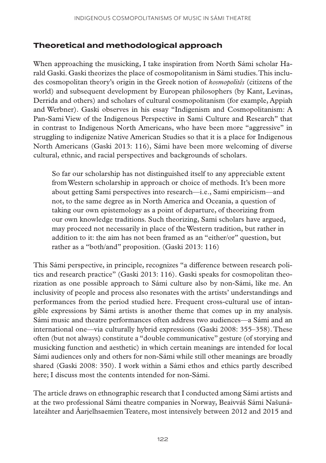## **Theoretical and methodological approach**

When approaching the musicking, I take inspiration from North Sámi scholar Harald Gaski. Gaski theorizes the place of cosmopolitanism in Sámi studies. This includes cosmopolitan theory's origin in the Greek notion of *kosmopolitês* (citizens of the world) and subsequent development by European philosophers (by Kant, Levinas, Derrida and others) and scholars of cultural cosmopolitanism (for example, Appiah and Werbner). Gaski observes in his essay "Indigenism and Cosmopolitanism: A Pan-Sami View of the Indigenous Perspective in Sami Culture and Research" that in contrast to Indigenous North Americans, who have been more "aggressive" in struggling to indigenize Native American Studies so that it is a place for Indigenous North Americans (Gaski 2013: 116), Sámi have been more welcoming of diverse cultural, ethnic, and racial perspectives and backgrounds of scholars.

So far our scholarship has not distinguished itself to any appreciable extent from Western scholarship in approach or choice of methods. It's been more about getting Sami perspectives into research—i.e., Sami empiricism—and not, to the same degree as in North America and Oceania, a question of taking our own epistemology as a point of departure, of theorizing from our own knowledge traditions. Such theorizing, Sami scholars have argued, may proceed not necessarily in place of the Western tradition, but rather in addition to it: the aim has not been framed as an "either/or" question, but rather as a "both/and" proposition. (Gaski 2013: 116)

This Sámi perspective, in principle, recognizes "a difference between research politics and research practice" (Gaski 2013: 116). Gaski speaks for cosmopolitan theorization as one possible approach to Sámi culture also by non-Sámi, like me. An inclusivity of people and process also resonates with the artists' understandings and performances from the period studied here. Frequent cross-cultural use of intangible expressions by Sámi artists is another theme that comes up in my analysis. Sámi music and theatre performances often address two audiences—a Sámi and an international one—via culturally hybrid expressions (Gaski 2008: 355–358). These often (but not always) constitute a "double communicative" gesture (of storying and musicking function and aesthetic) in which certain meanings are intended for local Sámi audiences only and others for non-Sámi while still other meanings are broadly shared (Gaski 2008: 350). I work within a Sámi ethos and ethics partly described here; I discuss most the contents intended for non-Sámi.

The article draws on ethnographic research that I conducted among Sámi artists and at the two professional Sámi theatre companies in Norway, Beaivváš Sámi Našunálateáhter and Åarjelhsaemien Teatere, most intensively between 2012 and 2015 and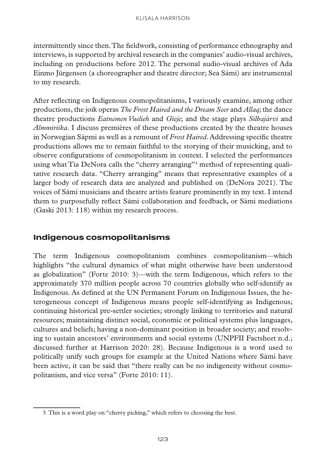intermittently since then. The fieldwork, consisting of performance ethnography and interviews, is supported by archival research in the companies' audio-visual archives, including on productions before 2012. The personal audio-visual archives of Ada Einmo Jürgensen (a choreographer and theatre director; Sea Sámi) are instrumental to my research.

After reflecting on Indigenous cosmopolitanisms, I variously examine, among other productions, the joik operas *The Frost Haired and the Dream Seer* and *Allaq*; the dance theatre productions *Eatnemen Vuelieh* and *Gïeje*; and the stage plays *Silbajárvi* and *Almmiriika*. I discuss premières of these productions created by the theatre houses in Norwegian Sápmi as well as a remount of *Frost Haired*. Addressing specific theatre productions allows me to remain faithful to the storying of their musicking, and to observe configurations of cosmopolitanism in context. I selected the performances using what Tia DeNora calls the "cherry arranging"3 method of representing qualitative research data. "Cherry arranging" means that representative examples of a larger body of research data are analyzed and published on (DeNora 2021). The voices of Sámi musicians and theatre artists feature prominently in my text. I intend them to purposefully reflect Sámi collaboration and feedback, or Sámi mediations (Gaski 2013: 118) within my research process.

## **Indigenous cosmopolitanisms**

The term Indigenous cosmopolitanism combines cosmopolitanism—which highlights "the cultural dynamics of what might otherwise have been understood as globalization" (Forte 2010: 3)—with the term Indigenous, which refers to the approximately 370 million people across 70 countries globally who self-identify as Indigenous. As defined at the UN Permanent Forum on Indigenous Issues, the heterogeneous concept of Indigenous means people self-identifying as Indigenous; continuing historical pre-settler societies; strongly linking to territories and natural resources; maintaining distinct social, economic or political systems plus languages, cultures and beliefs; having a non-dominant position in broader society; and resolving to sustain ancestors' environments and social systems (UNPFII Factsheet n.d.; discussed further at Harrison 2020: 28). Because Indigenous is a word used to politically unify such groups for example at the United Nations where Sámi have been active, it can be said that "there really can be no indigeneity without cosmopolitanism, and vice versa" (Forte 2010: 11).

<sup>3</sup> This is a word play on "cherry picking," which refers to choosing the best.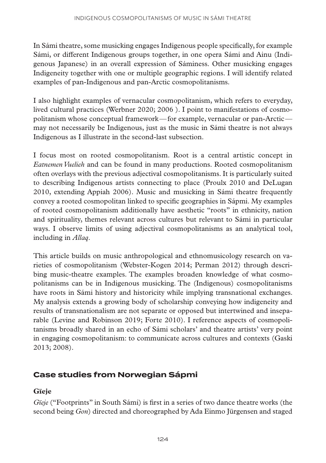In Sámi theatre, some musicking engages Indigenous people specifically, for example Sámi, or different Indigenous groups together, in one opera Sámi and Ainu (Indigenous Japanese) in an overall expression of Sáminess. Other musicking engages Indigeneity together with one or multiple geographic regions. I will identify related examples of pan-Indigenous and pan-Arctic cosmopolitanisms.

I also highlight examples of vernacular cosmopolitanism, which refers to everyday, lived cultural practices (Werbner 2020; 2006 ). I point to manifestations of cosmopolitanism whose conceptual framework—for example, vernacular or pan-Arctic may not necessarily be Indigenous, just as the music in Sámi theatre is not always Indigenous as I illustrate in the second-last subsection.

I focus most on rooted cosmopolitanism. Root is a central artistic concept in *Eatnemen Vuelieh* and can be found in many productions. Rooted cosmopolitanism often overlays with the previous adjectival cosmopolitanisms. It is particularly suited to describing Indigenous artists connecting to place (Proulx 2010 and DeLugan 2010, extending Appiah 2006). Music and musicking in Sámi theatre frequently convey a rooted cosmopolitan linked to specific geographies in Sápmi. My examples of rooted cosmopolitanism additionally have aesthetic "roots" in ethnicity, nation and spirituality, themes relevant across cultures but relevant to Sámi in particular ways. I observe limits of using adjectival cosmopolitanisms as an analytical tool, including in *Allaq*.

This article builds on music anthropological and ethnomusicology research on varieties of cosmopolitanism (Webster-Kogen 2014; Perman 2012) through describing music-theatre examples. The examples broaden knowledge of what cosmopolitanisms can be in Indigenous musicking. The (Indigenous) cosmopolitanisms have roots in Sámi history and historicity while implying transnational exchanges. My analysis extends a growing body of scholarship conveying how indigeneity and results of transnationalism are not separate or opposed but intertwined and inseparable (Levine and Robinson 2019; Forte 2010). I reference aspects of cosmopolitanisms broadly shared in an echo of Sámi scholars' and theatre artists' very point in engaging cosmopolitanism: to communicate across cultures and contexts (Gaski 2013; 2008).

## **Case studies from Norwegian Sápmi**

## **Gïeje**

*Gïeje* ("Footprints" in South Sámi) is first in a series of two dance theatre works (the second being *Gon*) directed and choreographed by Ada Einmo Jürgensen and staged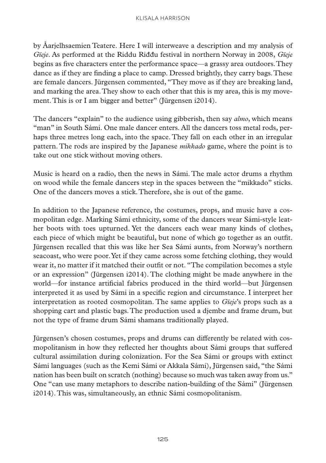by Åarjelhsaemien Teatere. Here I will interweave a description and my analysis of *Gïeje*. As performed at the Riddu Riđđu festival in northern Norway in 2008, *Gïeje* begins as five characters enter the performance space—a grassy area outdoors. They dance as if they are finding a place to camp. Dressed brightly, they carry bags. These are female dancers. Jürgensen commented, "They move as if they are breaking land, and marking the area. They show to each other that this is my area, this is my movement. This is or I am bigger and better" (Jürgensen i2014).

The dancers "explain" to the audience using gibberish, then say *almo*, which means "man" in South Sámi. One male dancer enters. All the dancers toss metal rods, perhaps three metres long each, into the space. They fall on each other in an irregular pattern. The rods are inspired by the Japanese *mikkado* game, where the point is to take out one stick without moving others.

Music is heard on a radio, then the news in Sámi. The male actor drums a rhythm on wood while the female dancers step in the spaces between the "mikkado" sticks. One of the dancers moves a stick. Therefore, she is out of the game.

In addition to the Japanese reference, the costumes, props, and music have a cosmopolitan edge. Marking Sámi ethnicity, some of the dancers wear Sámi-style leather boots with toes upturned. Yet the dancers each wear many kinds of clothes, each piece of which might be beautiful, but none of which go together as an outfit. Jürgensen recalled that this was like her Sea Sámi aunts, from Norway's northern seacoast, who were poor. Yet if they came across some fetching clothing, they would wear it, no matter if it matched their outfit or not. "The compilation becomes a style or an expression" (Jürgensen i2014). The clothing might be made anywhere in the world—for instance artificial fabrics produced in the third world—but Jürgensen interpreted it as used by Sámi in a specific region and circumstance. I interpret her interpretation as rooted cosmopolitan. The same applies to *Gïeje*'s props such as a shopping cart and plastic bags. The production used a djembe and frame drum, but not the type of frame drum Sámi shamans traditionally played.

Jürgensen's chosen costumes, props and drums can differently be related with cosmopolitanism in how they reflected her thoughts about Sámi groups that suffered cultural assimilation during colonization. For the Sea Sámi or groups with extinct Sámi languages (such as the Kemi Sámi or Akkala Sámi), Jürgensen said, "the Sámi nation has been built on scratch (nothing) because so much was taken away from us." One "can use many metaphors to describe nation-building of the Sámi" (Jürgensen i2014). This was, simultaneously, an ethnic Sámi cosmopolitanism.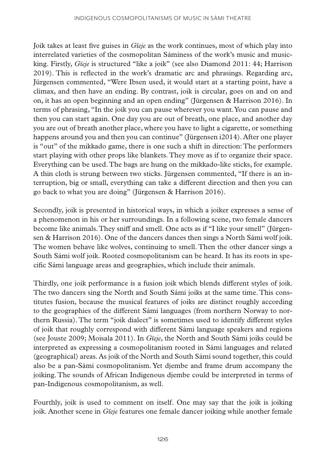Joik takes at least five guises in *Gïeje* as the work continues, most of which play into interrelated varieties of the cosmopolitan Sáminess of the work's music and musicking. Firstly, *Gïeje* is structured "like a joik" (see also Diamond 2011: 44; Harrison 2019). This is reflected in the work's dramatic arc and phrasings. Regarding arc, Jürgensen commented, "Were Ibsen used, it would start at a starting point, have a climax, and then have an ending. By contrast, joik is circular, goes on and on and on, it has an open beginning and an open ending" (Jürgensen & Harrison 2016). In terms of phrasing, "In the joik you can pause wherever you want. You can pause and then you can start again. One day you are out of breath, one place, and another day you are out of breath another place, where you have to light a cigarette, or something happens around you and then you can continue" (Jürgensen i2014). After one player is "out" of the mikkado game, there is one such a shift in direction: The performers start playing with other props like blankets. They move as if to organize their space. Everything can be used. The bags are hung on the mikkado-like sticks, for example. A thin cloth is strung between two sticks. Jürgensen commented, "If there is an interruption, big or small, everything can take a different direction and then you can go back to what you are doing" (Jürgensen & Harrison 2016).

Secondly, joik is presented in historical ways, in which a joiker expresses a sense of a phenomenon in his or her surroundings. In a following scene, two female dancers become like animals. They sniff and smell. One acts as if "I like your smell" (Jürgensen & Harrison 2016). One of the dancers dances then sings a North Sámi wolf joik. The women behave like wolves, continuing to smell. Then the other dancer sings a South Sámi wolf joik. Rooted cosmopolitanism can be heard. It has its roots in specific Sámi language areas and geographies, which include their animals.

Thirdly, one joik performance is a fusion joik which blends different styles of joik. The two dancers sing the North and South Sámi joiks at the same time. This constitutes fusion, because the musical features of joiks are distinct roughly according to the geographies of the different Sámi languages (from northern Norway to northern Russia). The term "joik dialect" is sometimes used to identify different styles of joik that roughly correspond with different Sámi language speakers and regions (see Jouste 2009; Moisala 2011). In *Gïeje*, the North and South Sámi joiks could be interpreted as expressing a cosmopolitanism rooted in Sámi languages and related (geographical) areas. As joik of the North and South Sámi sound together, this could also be a pan-Sámi cosmopolitanism. Yet djembe and frame drum accompany the joiking. The sounds of African Indigenous djembe could be interpreted in terms of pan-Indigenous cosmopolitanism, as well.

Fourthly, joik is used to comment on itself. One may say that the joik is joiking joik. Another scene in *Gïeje* features one female dancer joiking while another female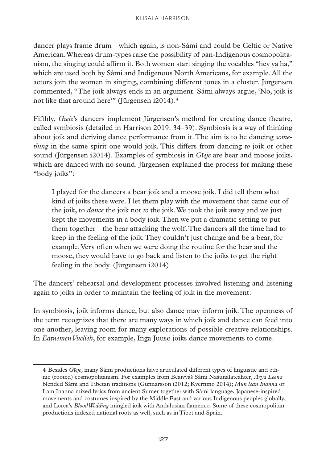dancer plays frame drum—which again, is non-Sámi and could be Celtic or Native American. Whereas drum-types raise the possibility of pan-Indigenous cosmopolitanism, the singing could affirm it. Both women start singing the vocables "hey ya ha," which are used both by Sámi and Indigenous North Americans, for example. All the actors join the women in singing, combining different tones in a cluster. Jürgensen commented, "The joik always ends in an argument. Sámi always argue, 'No, joik is not like that around here"" (Jürgensen i2014).<sup>4</sup>

Fifthly, *Gïeje*'s dancers implement Jürgensen's method for creating dance theatre, called symbiosis (detailed in Harrison 2019: 34–39). Symbiosis is a way of thinking about joik and deriving dance performance from it. The aim is to be dancing *something* in the same spirit one would joik. This differs from dancing *to* joik or other sound (Jürgensen i2014). Examples of symbiosis in *Gïeje* are bear and moose joiks, which are danced with no sound. Jürgensen explained the process for making these "body joiks":

I played for the dancers a bear joik and a moose joik. I did tell them what kind of joiks these were. I let them play with the movement that came out of the joik, to *dance* the joik not *to* the joik. We took the joik away and we just kept the movements in a body joik. Then we put a dramatic setting to put them together—the bear attacking the wolf. The dancers all the time had to keep in the feeling of the joik. They couldn't just change and be a bear, for example. Very often when we were doing the routine for the bear and the moose, they would have to go back and listen to the joiks to get the right feeling in the body. (Jürgensen i2014)

The dancers' rehearsal and development processes involved listening and listening again to joiks in order to maintain the feeling of joik in the movement.

In symbiosis, joik informs dance, but also dance may inform joik. The openness of the term recognizes that there are many ways in which joik and dance can feed into one another, leaving room for many explorations of possible creative relationships. In *Eatnemen Vuelieh*, for example, Inga Juuso joiks dance movements to come.

<sup>4</sup> Besides *Gïeje*, many Sámi productions have articulated different types of linguistic and ethnic (rooted) cosmopolitanism. For examples from Beaivváš Sámi Našunálateáhter, *Arya Leena* blended Sámi and Tibetan traditions (Gunnarsson i2012; Kvernmo 2014); *Mun lean Inanna* or I am Inanna mixed lyrics from ancient Sumer together with Sámi language, Japanese-inspired movements and costumes inspired by the Middle East and various Indigenous peoples globally; and Lorca's *Blood Wedding* mingled joik with Andalusian flamenco. Some of these cosmopolitan productions indexed national roots as well, such as in Tibet and Spain.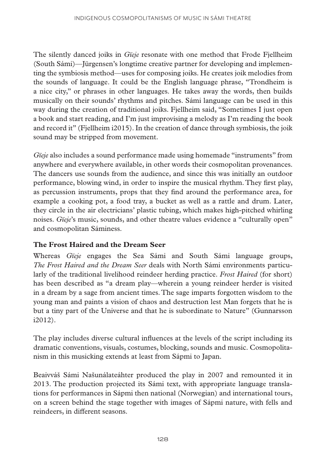The silently danced joiks in *Gïeje* resonate with one method that Frode Fjellheim (South Sámi)—Jürgensen's longtime creative partner for developing and implementing the symbiosis method—uses for composing joiks. He creates joik melodies from the sounds of language. It could be the English language phrase, "Trondheim is a nice city," or phrases in other languages. He takes away the words, then builds musically on their sounds' rhythms and pitches. Sámi language can be used in this way during the creation of traditional joiks. Fjellheim said, "Sometimes I just open a book and start reading, and I'm just improvising a melody as I'm reading the book and record it" (Fjellheim i2015). In the creation of dance through symbiosis, the joik sound may be stripped from movement.

*Gïeje* also includes a sound performance made using homemade "instruments" from anywhere and everywhere available, in other words their cosmopolitan provenances. The dancers use sounds from the audience, and since this was initially an outdoor performance, blowing wind, in order to inspire the musical rhythm. They first play, as percussion instruments, props that they find around the performance area, for example a cooking pot, a food tray, a bucket as well as a rattle and drum. Later, they circle in the air electricians' plastic tubing, which makes high-pitched whirling noises. *Gïeje*'s music, sounds, and other theatre values evidence a "culturally open" and cosmopolitan Sáminess.

#### **The Frost Haired and the Dream Seer**

Whereas *Gïeje* engages the Sea Sámi and South Sámi language groups, *The Frost Haired and the Dream Seer* deals with North Sámi environments particularly of the traditional livelihood reindeer herding practice. *Frost Haired* (for short) has been described as "a dream play—wherein a young reindeer herder is visited in a dream by a sage from ancient times. The sage imparts forgotten wisdom to the young man and paints a vision of chaos and destruction lest Man forgets that he is but a tiny part of the Universe and that he is subordinate to Nature" (Gunnarsson i2012).

The play includes diverse cultural influences at the levels of the script including its dramatic conventions, visuals, costumes, blocking, sounds and music. Cosmopolitanism in this musicking extends at least from Sápmi to Japan.

Beaivváš Sámi Našunálateáhter produced the play in 2007 and remounted it in 2013. The production projected its Sámi text, with appropriate language translations for performances in Sápmi then national (Norwegian) and international tours, on a screen behind the stage together with images of Sápmi nature, with fells and reindeers, in different seasons.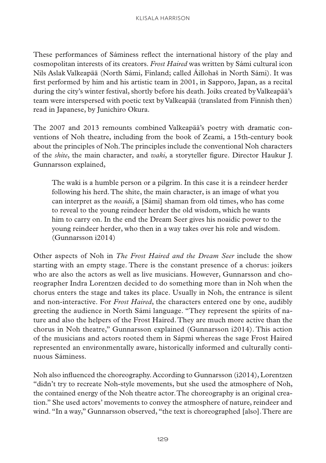These performances of Sáminess reflect the international history of the play and cosmopolitan interests of its creators. *Frost Haired* was written by Sámi cultural icon Nils Aslak Valkeapää (North Sámi, Finland; called Áillohaš in North Sámi). It was first performed by him and his artistic team in 2001, in Sapporo, Japan, as a recital during the city's winter festival, shortly before his death. Joiks created by Valkeapää's team were interspersed with poetic text by Valkeapää (translated from Finnish then) read in Japanese, by Junichiro Okura.

The 2007 and 2013 remounts combined Valkeapää's poetry with dramatic conventions of Noh theatre, including from the book of Zeami, a 15th-century book about the principles of Noh. The principles include the conventional Noh characters of the *shite*, the main character, and *waki*, a storyteller figure. Director Haukur J. Gunnarsson explained,

The waki is a humble person or a pilgrim. In this case it is a reindeer herder following his herd. The shite, the main character, is an image of what you can interpret as the *noaidi*, a [Sámi] shaman from old times, who has come to reveal to the young reindeer herder the old wisdom, which he wants him to carry on. In the end the Dream Seer gives his noaidic power to the young reindeer herder, who then in a way takes over his role and wisdom. (Gunnarsson i2014)

Other aspects of Noh in *The Frost Haired and the Dream Seer* include the show starting with an empty stage. There is the constant presence of a chorus: joikers who are also the actors as well as live musicians. However, Gunnarsson and choreographer Indra Lorentzen decided to do something more than in Noh when the chorus enters the stage and takes its place. Usually in Noh, the entrance is silent and non-interactive. For *Frost Haired*, the characters entered one by one, audibly greeting the audience in North Sámi language. "They represent the spirits of nature and also the helpers of the Frost Haired. They are much more active than the chorus in Noh theatre," Gunnarsson explained (Gunnarsson i2014). This action of the musicians and actors rooted them in Sápmi whereas the sage Frost Haired represented an environmentally aware, historically informed and culturally continuous Sáminess.

Noh also influenced the choreography. According to Gunnarsson (i2014), Lorentzen "didn't try to recreate Noh-style movements, but she used the atmosphere of Noh, the contained energy of the Noh theatre actor. The choreography is an original creation." She used actors' movements to convey the atmosphere of nature, reindeer and wind. "In a way," Gunnarsson observed, "the text is choreographed [also]. There are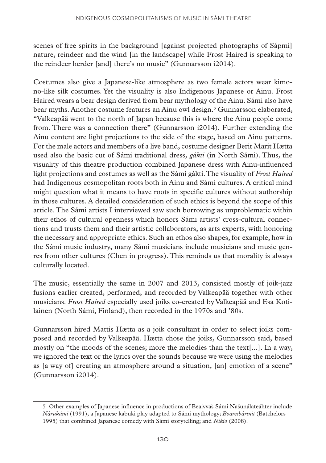scenes of free spirits in the background [against projected photographs of Sápmi] nature, reindeer and the wind [in the landscape] while Frost Haired is speaking to the reindeer herder [and] there's no music" (Gunnarsson i2014).

Costumes also give a Japanese-like atmosphere as two female actors wear kimono-like silk costumes. Yet the visuality is also Indigenous Japanese or Ainu. Frost Haired wears a bear design derived from bear mythology of the Ainu. Sámi also have bear myths. Another costume features an Ainu owl design.<sup>5</sup> Gunnarsson elaborated, "Valkeapää went to the north of Japan because this is where the Ainu people come from. There was a connection there" (Gunnarsson i2014). Further extending the Ainu content are light projections to the side of the stage, based on Ainu patterns. For the male actors and members of a live band, costume designer Berit Marit Hætta used also the basic cut of Sámi traditional dress, *gákti* (in North Sámi). Thus, the visuality of this theatre production combined Japanese dress with Ainu-influenced light projections and costumes as well as the Sámi gákti. The visuality of *Frost Haired* had Indigenous cosmopolitan roots both in Ainu and Sámi cultures. A critical mind might question what it means to have roots in specific cultures without authorship in those cultures. A detailed consideration of such ethics is beyond the scope of this article. The Sámi artists I interviewed saw such borrowing as unproblematic within their ethos of cultural openness which honors Sámi artists' cross-cultural connections and trusts them and their artistic collaborators, as arts experts, with honoring the necessary and appropriate ethics. Such an ethos also shapes, for example, how in the Sámi music industry, many Sámi musicians include musicians and music genres from other cultures (Chen in progress). This reminds us that morality is always culturally located.

The music, essentially the same in 2007 and 2013, consisted mostly of joik-jazz fusions earlier created, performed, and recorded by Valkeapää together with other musicians. *Frost Haired* especially used joiks co-created by Valkeapää and Esa Kotilainen (North Sámi, Finland), then recorded in the 1970s and '80s.

Gunnarsson hired Mattis Hætta as a joik consultant in order to select joiks composed and recorded by Valkeapää. Hætta chose the joiks, Gunnarsson said, based mostly on "the moods of the scenes; more the melodies than the text[...]. In a way, we ignored the text or the lyrics over the sounds because we were using the melodies as [a way of] creating an atmosphere around a situation, [an] emotion of a scene" (Gunnarsson i2014).

<sup>5</sup> Other examples of Japanese influence in productions of Beaivváš Sámi Našunálateáhter include *Nárukámi* (1991), a Japanese kabuki play adapted to Sámi mythology; *Boaresbártnit* (Batchelors 1995) that combined Japanese comedy with Sámi storytelling; and *Nikio* (2008).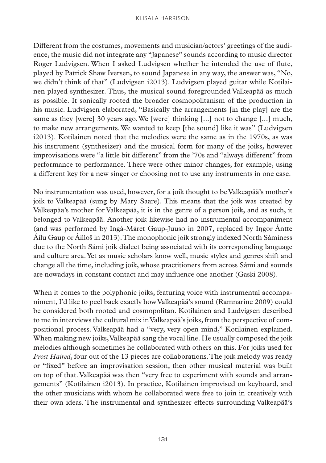Different from the costumes, movements and musician/actors' greetings of the audience, the music did not integrate any "Japanese" sounds according to music director Roger Ludvigsen. When I asked Ludvigsen whether he intended the use of flute, played by Patrick Shaw Iversen, to sound Japanese in any way, the answer was, "No, we didn't think of that" (Ludvigsen i2013). Ludvigsen played guitar while Kotilainen played synthesizer. Thus, the musical sound foregrounded Valkeapää as much as possible. It sonically rooted the broader cosmopolitanism of the production in his music. Ludvigsen elaborated, "Basically the arrangements [in the play] are the same as they [were] 30 years ago. We [were] thinking [...] not to change [...] much, to make new arrangements. We wanted to keep [the sound] like it was" (Ludvigsen i2013). Kotilainen noted that the melodies were the same as in the 1970s, as was his instrument (synthesizer) and the musical form for many of the joiks, however improvisations were "a little bit different" from the '70s and "always different" from performance to performance. There were other minor changes, for example, using a different key for a new singer or choosing not to use any instruments in one case.

No instrumentation was used, however, for a joik thought to be Valkeapää's mother's joik to Valkeapää (sung by Mary Saare). This means that the joik was created by Valkeapää's mother for Valkeapää, it is in the genre of a person joik, and as such, it belonged to Valkeapää. Another joik likewise had no instrumental accompaniment (and was performed by Ingá-Máret Gaup-Juuso in 2007, replaced by Iŋgor Ántte Áilu Gaup or Áilloš in 2013). The monophonic joik strongly indexed North Sáminess due to the North Sámi joik dialect being associated with its corresponding language and culture area. Yet as music scholars know well, music styles and genres shift and change all the time, including joik, whose practitioners from across Sámi and sounds are nowadays in constant contact and may influence one another (Gaski 2008).

When it comes to the polyphonic joiks, featuring voice with instrumental accompaniment, I'd like to peel back exactly how Valkeapää's sound (Ramnarine 2009) could be considered both rooted and cosmopolitan. Kotilainen and Ludvigsen described to me in interviews the cultural mix in Valkeapää's joiks, from the perspective of compositional process. Valkeapää had a "very, very open mind," Kotilainen explained. When making new joiks, Valkeapää sang the vocal line. He usually composed the joik melodies although sometimes he collaborated with others on this. For joiks used for *Frost Haired*, four out of the 13 pieces are collaborations. The joik melody was ready or "fixed" before an improvisation session, then other musical material was built on top of that. Valkeapää was then "very free to experiment with sounds and arrangements" (Kotilainen i2013). In practice, Kotilainen improvised on keyboard, and the other musicians with whom he collaborated were free to join in creatively with their own ideas. The instrumental and synthesizer effects surrounding Valkeapää's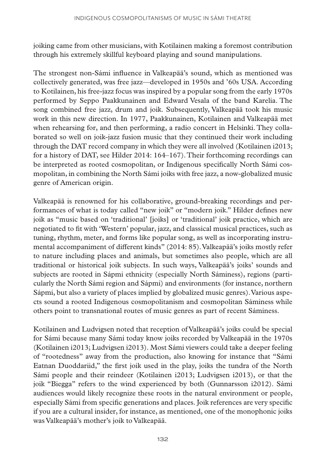joiking came from other musicians, with Kotilainen making a foremost contribution through his extremely skillful keyboard playing and sound manipulations.

The strongest non-Sámi influence in Valkeapää's sound, which as mentioned was collectively generated, was free jazz—developed in 1950s and '60s USA. According to Kotilainen, his free-jazz focus was inspired by a popular song from the early 1970s performed by Seppo Paakkunainen and Edward Vesala of the band Karelia. The song combined free jazz, drum and joik. Subsequently, Valkeapää took his music work in this new direction. In 1977, Paakkunainen, Kotilainen and Valkeapää met when rehearsing for, and then performing, a radio concert in Helsinki. They collaborated so well on joik-jazz fusion music that they continued their work including through the DAT record company in which they were all involved (Kotilainen i2013; for a history of DAT, see Hilder 2014: 164–167). Their forthcoming recordings can be interpreted as rooted cosmopolitan, or Indigenous specifically North Sámi cosmopolitan, in combining the North Sámi joiks with free jazz, a now-globalized music genre of American origin.

Valkeapää is renowned for his collaborative, ground-breaking recordings and performances of what is today called "new joik" or "modern joik." Hilder defines new joik as "music based on 'traditional' [joiks] or 'traditional' joik practice, which are negotiated to fit with 'Western' popular, jazz, and classical musical practices, such as tuning, rhythm, meter, and forms like popular song, as well as incorporating instrumental accompaniment of different kinds" (2014: 85). Valkeapää's joiks mostly refer to nature including places and animals, but sometimes also people, which are all traditional or historical joik subjects. In such ways, Valkeapää's joiks' sounds and subjects are rooted in Sápmi ethnicity (especially North Sáminess), regions (particularly the North Sámi region and Sápmi) and environments (for instance, northern Sápmi, but also a variety of places implied by globalized music genres). Various aspects sound a rooted Indigenous cosmopolitanism and cosmopolitan Sáminess while others point to transnational routes of music genres as part of recent Sáminess.

Kotilainen and Ludvigsen noted that reception of Valkeapää's joiks could be special for Sámi because many Sámi today know joiks recorded by Valkeapää in the 1970s (Kotilainen i2013; Ludvigsen i2013). Most Sámi viewers could take a deeper feeling of "rootedness" away from the production, also knowing for instance that "Sámi Eatnan Duoddariid," the first joik used in the play, joiks the tundra of the North Sámi people and their reindeer (Kotilainen i2013; Ludvigsen i2013), or that the joik "Biegga" refers to the wind experienced by both (Gunnarsson i2012). Sámi audiences would likely recognize these roots in the natural environment or people, especially Sámi from specific generations and places. Joik references are very specific if you are a cultural insider, for instance, as mentioned, one of the monophonic joiks was Valkeapää's mother's joik to Valkeapää.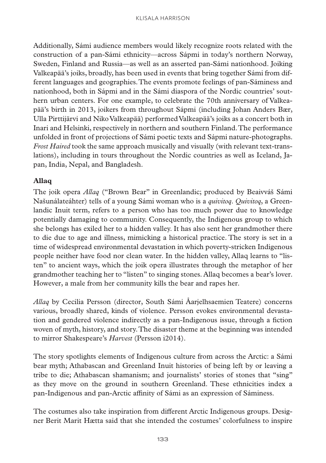Additionally, Sámi audience members would likely recognize roots related with the construction of a pan-Sámi ethnicity—across Sápmi in today's northern Norway, Sweden, Finland and Russia—as well as an asserted pan-Sámi nationhood. Joiking Valkeapää's joiks, broadly, has been used in events that bring together Sámi from different languages and geographies. The events promote feelings of pan-Sáminess and nationhood, both in Sápmi and in the Sámi diaspora of the Nordic countries' southern urban centers. For one example, to celebrate the 70th anniversary of Valkeapää's birth in 2013, joikers from throughout Sápmi (including Johan Anders Bær, Ulla Pirttijärvi and Niko Valkeapää) performed Valkeapää's joiks as a concert both in Inari and Helsinki, respectively in northern and southern Finland. The performance unfolded in front of projections of Sámi poetic texts and Sápmi nature-photographs. *Frost Haired* took the same approach musically and visually (with relevant text-translations), including in tours throughout the Nordic countries as well as Iceland, Japan, India, Nepal, and Bangladesh.

#### **Allaq**

The joik opera *Allaq* ("Brown Bear" in Greenlandic; produced by Beaivváš Sámi Našunálateáhter) tells of a young Sámi woman who is a *quivitoq*. *Quivitoq*, a Greenlandic Inuit term, refers to a person who has too much power due to knowledge potentially damaging to community. Consequently, the Indigenous group to which she belongs has exiled her to a hidden valley. It has also sent her grandmother there to die due to age and illness, mimicking a historical practice. The story is set in a time of widespread environmental devastation in which poverty-stricken Indigenous people neither have food nor clean water. In the hidden valley, Allaq learns to "listen" to ancient ways, which the joik opera illustrates through the metaphor of her grandmother teaching her to "listen" to singing stones. Allaq becomes a bear's lover. However, a male from her community kills the bear and rapes her.

*Allaq* by Cecilia Persson (director, South Sámi Åarjelhsaemien Teatere) concerns various, broadly shared, kinds of violence. Persson evokes environmental devastation and gendered violence indirectly as a pan-Indigenous issue, through a fiction woven of myth, history, and story. The disaster theme at the beginning was intended to mirror Shakespeare's *Harvest* (Persson i2014).

The story spotlights elements of Indigenous culture from across the Arctic: a Sámi bear myth; Athabascan and Greenland Inuit histories of being left by or leaving a tribe to die; Athabascan shamanism; and journalists' stories of stones that "sing" as they move on the ground in southern Greenland. These ethnicities index a pan-Indigenous and pan-Arctic affinity of Sámi as an expression of Sáminess.

The costumes also take inspiration from different Arctic Indigenous groups. Designer Berit Marit Hætta said that she intended the costumes' colorfulness to inspire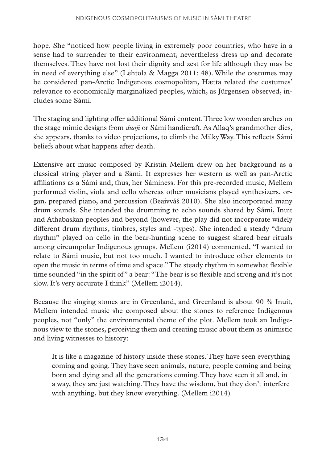hope. She "noticed how people living in extremely poor countries, who have in a sense had to surrender to their environment, nevertheless dress up and decorate themselves. They have not lost their dignity and zest for life although they may be in need of everything else" (Lehtola & Magga 2011: 48). While the costumes may be considered pan-Arctic Indigenous cosmopolitan, Hætta related the costumes' relevance to economically marginalized peoples, which, as Jürgensen observed, includes some Sámi.

The staging and lighting offer additional Sámi content. Three low wooden arches on the stage mimic designs from *duoji* or Sámi handicraft. As Allaq's grandmother dies, she appears, thanks to video projections, to climb the Milky Way. This reflects Sámi beliefs about what happens after death.

Extensive art music composed by Kristin Mellem drew on her background as a classical string player and a Sámi. It expresses her western as well as pan-Arctic affiliations as a Sámi and, thus, her Sáminess. For this pre-recorded music, Mellem performed violin, viola and cello whereas other musicians played synthesizers, organ, prepared piano, and percussion (Beaivváš 2010). She also incorporated many drum sounds. She intended the drumming to echo sounds shared by Sámi, Inuit and Athabaskan peoples and beyond (however, the play did not incorporate widely different drum rhythms, timbres, styles and -types). She intended a steady "drum rhythm" played on cello in the bear-hunting scene to suggest shared bear rituals among circumpolar Indigenous groups. Mellem (i2014) commented, "I wanted to relate to Sámi music, but not too much. I wanted to introduce other elements to open the music in terms of time and space." The steady rhythm in somewhat flexible time sounded "in the spirit of" a bear: "The bear is so flexible and strong and it's not slow. It's very accurate I think" (Mellem i2014).

Because the singing stones are in Greenland, and Greenland is about 90 % Inuit, Mellem intended music she composed about the stones to reference Indigenous peoples, not "only" the environmental theme of the plot. Mellem took an Indigenous view to the stones, perceiving them and creating music about them as animistic and living witnesses to history:

It is like a magazine of history inside these stones. They have seen everything coming and going. They have seen animals, nature, people coming and being born and dying and all the generations coming. They have seen it all and, in a way, they are just watching. They have the wisdom, but they don't interfere with anything, but they know everything. (Mellem i2014)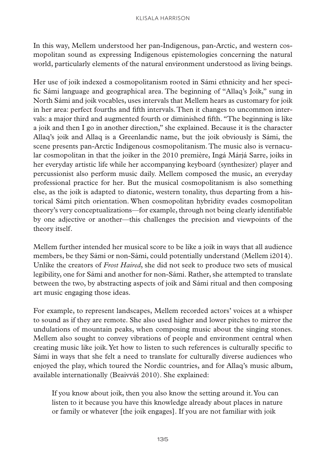In this way, Mellem understood her pan-Indigenous, pan-Arctic, and western cosmopolitan sound as expressing Indigenous epistemologies concerning the natural world, particularly elements of the natural environment understood as living beings.

Her use of joik indexed a cosmopolitanism rooted in Sámi ethnicity and her specific Sámi language and geographical area. The beginning of "Allaq's Joik," sung in North Sámi and joik vocables, uses intervals that Mellem hears as customary for joik in her area: perfect fourths and fifth intervals. Then it changes to uncommon intervals: a major third and augmented fourth or diminished fifth. "The beginning is like a joik and then I go in another direction," she explained. Because it is the character Allaq's joik and Allaq is a Greenlandic name, but the joik obviously is Sámi, the scene presents pan-Arctic Indigenous cosmopolitanism. The music also is vernacular cosmopolitan in that the joiker in the 2010 première, Ingá Márjá Sarre, joiks in her everyday artistic life while her accompanying keyboard (synthesizer) player and percussionist also perform music daily. Mellem composed the music, an everyday professional practice for her. But the musical cosmopolitanism is also something else, as the joik is adapted to diatonic, western tonality, thus departing from a historical Sámi pitch orientation. When cosmopolitan hybridity evades cosmopolitan theory's very conceptualizations—for example, through not being clearly identifiable by one adjective or another—this challenges the precision and viewpoints of the theory itself.

Mellem further intended her musical score to be like a joik in ways that all audience members, be they Sámi or non-Sámi, could potentially understand (Mellem i2014). Unlike the creators of *Frost Haired*, she did not seek to produce two sets of musical legibility, one for Sámi and another for non-Sámi. Rather, she attempted to translate between the two, by abstracting aspects of joik and Sámi ritual and then composing art music engaging those ideas.

For example, to represent landscapes, Mellem recorded actors' voices at a whisper to sound as if they are remote. She also used higher and lower pitches to mirror the undulations of mountain peaks, when composing music about the singing stones. Mellem also sought to convey vibrations of people and environment central when creating music like joik. Yet how to listen to such references is culturally specific to Sámi in ways that she felt a need to translate for culturally diverse audiences who enjoyed the play, which toured the Nordic countries, and for Allaq's music album, available internationally (Beaivváš 2010). She explained:

If you know about joik, then you also know the setting around it. You can listen to it because you have this knowledge already about places in nature or family or whatever [the joik engages]. If you are not familiar with joik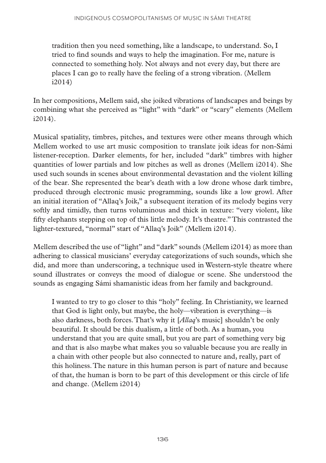tradition then you need something, like a landscape, to understand. So, I tried to find sounds and ways to help the imagination. For me, nature is connected to something holy. Not always and not every day, but there are places I can go to really have the feeling of a strong vibration. (Mellem i2014)

In her compositions, Mellem said, she joiked vibrations of landscapes and beings by combining what she perceived as "light" with "dark" or "scary" elements (Mellem i2014).

Musical spatiality, timbres, pitches, and textures were other means through which Mellem worked to use art music composition to translate joik ideas for non-Sámi listener-reception. Darker elements, for her, included "dark" timbres with higher quantities of lower partials and low pitches as well as drones (Mellem i2014). She used such sounds in scenes about environmental devastation and the violent killing of the bear. She represented the bear's death with a low drone whose dark timbre, produced through electronic music programming, sounds like a low growl. After an initial iteration of "Allaq's Joik," a subsequent iteration of its melody begins very softly and timidly, then turns voluminous and thick in texture: "very violent, like fifty elephants stepping on top of this little melody. It's theatre." This contrasted the lighter-textured, "normal" start of "Allaq's Joik" (Mellem i2014).

Mellem described the use of "light" and "dark" sounds (Mellem i2014) as more than adhering to classical musicians' everyday categorizations of such sounds, which she did, and more than underscoring, a technique used in Western-style theatre where sound illustrates or conveys the mood of dialogue or scene. She understood the sounds as engaging Sámi shamanistic ideas from her family and background.

I wanted to try to go closer to this "holy" feeling. In Christianity, we learned that God is light only, but maybe, the holy—vibration is everything—is also darkness, both forces. That's why it [*Allaq*'s music] shouldn't be only beautiful. It should be this dualism, a little of both. As a human, you understand that you are quite small, but you are part of something very big and that is also maybe what makes you so valuable because you are really in a chain with other people but also connected to nature and, really, part of this holiness. The nature in this human person is part of nature and because of that, the human is born to be part of this development or this circle of life and change. (Mellem i2014)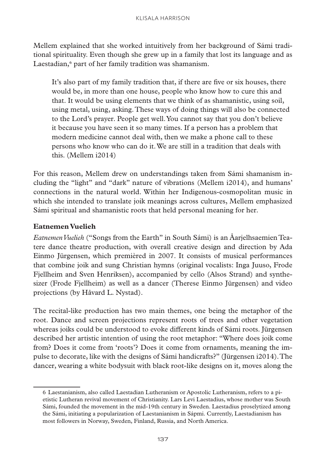Mellem explained that she worked intuitively from her background of Sámi traditional spirituality. Even though she grew up in a family that lost its language and as Laestadian,<sup>6</sup> part of her family tradition was shamanism.

It's also part of my family tradition that, if there are five or six houses, there would be, in more than one house, people who know how to cure this and that. It would be using elements that we think of as shamanistic, using soil, using metal, using, asking. These ways of doing things will also be connected to the Lord's prayer. People get well. You cannot say that you don't believe it because you have seen it so many times. If a person has a problem that modern medicine cannot deal with, then we make a phone call to these persons who know who can do it. We are still in a tradition that deals with this. (Mellem i2014)

For this reason, Mellem drew on understandings taken from Sámi shamanism including the "light" and "dark" nature of vibrations (Mellem i2014), and humans' connections in the natural world. Within her Indigenous-cosmopolitan music in which she intended to translate joik meanings across cultures, Mellem emphasized Sámi spiritual and shamanistic roots that held personal meaning for her.

#### **Eatnemen Vuelieh**

*Eatnemen Vuelieh* ("Songs from the Earth" in South Sámi) is an Åarjelhsaemien Teatere dance theatre production, with overall creative design and direction by Ada Einmo Jürgensen, which premièred in 2007. It consists of musical performances that combine joik and sung Christian hymns (original vocalists: Inga Juuso, Frode Fjellheim and Sven Henriksen), accompanied by cello (Alsos Strand) and synthesizer (Frode Fjellheim) as well as a dancer (Therese Einmo Jürgensen) and video projections (by Håvard L. Nystad).

The recital-like production has two main themes, one being the metaphor of the root. Dance and screen projections represent roots of trees and other vegetation whereas joiks could be understood to evoke different kinds of Sámi roots. Jürgensen described her artistic intention of using the root metaphor: "Where does joik come from? Does it come from 'roots'? Does it come from ornaments, meaning the impulse to decorate, like with the designs of Sámi handicrafts?" (Jürgensen i2014). The dancer, wearing a white bodysuit with black root-like designs on it, moves along the

<sup>6</sup> Laestanianism, also called Laestadian Lutheranism or Apostolic Lutheranism, refers to a pietistic Lutheran revival movement of Christianity. Lars Levi Laestadius, whose mother was South Sámi, founded the movement in the mid-19th century in Sweden. Laestadius proselytized among the Sámi, initiating a popularization of Laestanianism in Sápmi. Currently, Laestadianism has most followers in Norway, Sweden, Finland, Russia, and North America.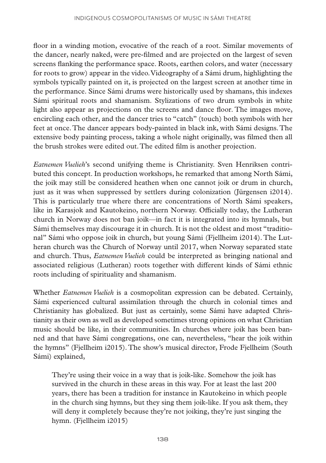floor in a winding motion, evocative of the reach of a root. Similar movements of the dancer, nearly naked, were pre-filmed and are projected on the largest of seven screens flanking the performance space. Roots, earthen colors, and water (necessary for roots to grow) appear in the video. Videography of a Sámi drum, highlighting the symbols typically painted on it, is projected on the largest screen at another time in the performance. Since Sámi drums were historically used by shamans, this indexes Sámi spiritual roots and shamanism. Stylizations of two drum symbols in white light also appear as projections on the screens and dance floor. The images move, encircling each other, and the dancer tries to "catch" (touch) both symbols with her feet at once. The dancer appears body-painted in black ink, with Sámi designs. The extensive body painting process, taking a whole night originally, was filmed then all the brush strokes were edited out. The edited film is another projection.

*Eatnemen Vuelieh*'s second unifying theme is Christianity. Sven Henriksen contributed this concept. In production workshops, he remarked that among North Sámi, the joik may still be considered heathen when one cannot joik or drum in church, just as it was when suppressed by settlers during colonization (Jürgensen i2014). This is particularly true where there are concentrations of North Sámi speakers, like in Karasjok and Kautokeino, northern Norway. Officially today, the Lutheran church in Norway does not ban joik—in fact it is integrated into its hymnals, but Sámi themselves may discourage it in church. It is not the oldest and most "traditional" Sámi who oppose joik in church, but young Sámi (Fjellheim i2014). The Lutheran church was the Church of Norway until 2017, when Norway separated state and church. Thus, *Eatnemen Vuelieh* could be interpreted as bringing national and associated religious (Lutheran) roots together with different kinds of Sámi ethnic roots including of spirituality and shamanism.

Whether *Eatnemen Vuelieh* is a cosmopolitan expression can be debated. Certainly, Sámi experienced cultural assimilation through the church in colonial times and Christianity has globalized. But just as certainly, some Sámi have adapted Christianity as their own as well as developed sometimes strong opinions on what Christian music should be like, in their communities. In churches where joik has been banned and that have Sámi congregations, one can, nevertheless, "hear the joik within the hymns" (Fjellheim i2015). The show's musical director, Frode Fjellheim (South Sámi) explained,

They're using their voice in a way that is joik-like. Somehow the joik has survived in the church in these areas in this way. For at least the last 200 years, there has been a tradition for instance in Kautokeino in which people in the church sing hymns, but they sing them joik-like. If you ask them, they will deny it completely because they're not joiking, they're just singing the hymn. (Fjellheim i2015)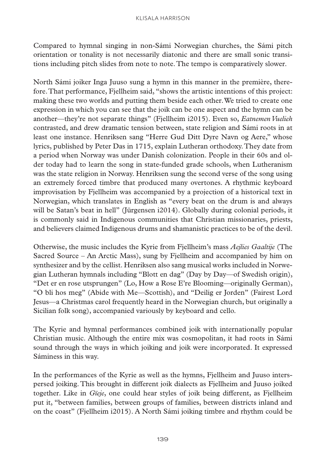Compared to hymnal singing in non-Sámi Norwegian churches, the Sámi pitch orientation or tonality is not necessarily diatonic and there are small sonic transitions including pitch slides from note to note. The tempo is comparatively slower.

North Sámi joiker Inga Juuso sung a hymn in this manner in the première, therefore. That performance, Fjellheim said, "shows the artistic intentions of this project: making these two worlds and putting them beside each other. We tried to create one expression in which you can see that the joik can be one aspect and the hymn can be another—they're not separate things" (Fjellheim i2015). Even so, *Eatnemen Vuelieh* contrasted, and drew dramatic tension between, state religion and Sámi roots in at least one instance. Henriksen sang "Herre Gud Ditt Dyre Navn og Aere," whose lyrics, published by Peter Das in 1715, explain Lutheran orthodoxy. They date from a period when Norway was under Danish colonization. People in their 60s and older today had to learn the song in state-funded grade schools, when Lutheranism was the state religion in Norway. Henriksen sung the second verse of the song using an extremely forced timbre that produced many overtones. A rhythmic keyboard improvisation by Fjellheim was accompanied by a projection of a historical text in Norwegian, which translates in English as "every beat on the drum is and always will be Satan's beat in hell" (Jürgensen i2014). Globally during colonial periods, it is commonly said in Indigenous communities that Christian missionaries, priests, and believers claimed Indigenous drums and shamanistic practices to be of the devil.

Otherwise, the music includes the Kyrie from Fjellheim's mass *Aejlies Gaaltije* (The Sacred Source – An Arctic Mass), sung by Fjellheim and accompanied by him on synthesizer and by the cellist. Henriksen also sang musical works included in Norwegian Lutheran hymnals including "Blott en dag" (Day by Day—of Swedish origin), "Det er en rose utsprungen" (Lo, How a Rose E're Blooming—originally German), "O bli hos meg" (Abide with Me—Scottish), and "Deilig er Jorden" (Fairest Lord Jesus—a Christmas carol frequently heard in the Norwegian church, but originally a Sicilian folk song), accompanied variously by keyboard and cello.

The Kyrie and hymnal performances combined joik with internationally popular Christian music. Although the entire mix was cosmopolitan, it had roots in Sámi sound through the ways in which joiking and joik were incorporated. It expressed Sáminess in this way.

In the performances of the Kyrie as well as the hymns, Fjellheim and Juuso interspersed joiking. This brought in different joik dialects as Fjellheim and Juuso joiked together. Like in *Gïeje*, one could hear styles of joik being different, as Fjellheim put it, "between families, between groups of families, between districts inland and on the coast" (Fjellheim i2015). A North Sámi joiking timbre and rhythm could be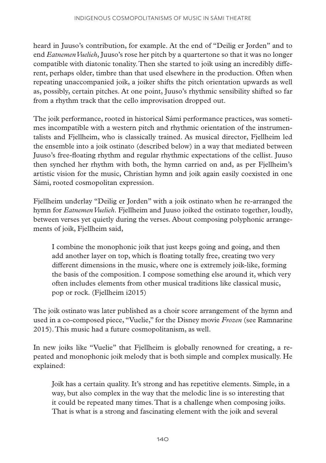heard in Juuso's contribution, for example. At the end of "Deilig er Jorden" and to end *Eatnemen Vuelieh*, Juuso's rose her pitch by a quartertone so that it was no longer compatible with diatonic tonality. Then she started to joik using an incredibly different, perhaps older, timbre than that used elsewhere in the production. Often when repeating unaccompanied joik, a joiker shifts the pitch orientation upwards as well as, possibly, certain pitches. At one point, Juuso's rhythmic sensibility shifted so far from a rhythm track that the cello improvisation dropped out.

The joik performance, rooted in historical Sámi performance practices, was sometimes incompatible with a western pitch and rhythmic orientation of the instrumentalists and Fjellheim, who is classically trained. As musical director, Fjellheim led the ensemble into a joik ostinato (described below) in a way that mediated between Juuso's free-floating rhythm and regular rhythmic expectations of the cellist. Juuso then synched her rhythm with both, the hymn carried on and, as per Fjellheim's artistic vision for the music, Christian hymn and joik again easily coexisted in one Sámi, rooted cosmopolitan expression.

Fjellheim underlay "Deilig er Jorden" with a joik ostinato when he re-arranged the hymn for *Eatnemen Vuelieh*. Fjellheim and Juuso joiked the ostinato together, loudly, between verses yet quietly during the verses. About composing polyphonic arrangements of joik, Fjellheim said,

I combine the monophonic joik that just keeps going and going, and then add another layer on top, which is floating totally free, creating two very different dimensions in the music, where one is extremely joik-like, forming the basis of the composition. I compose something else around it, which very often includes elements from other musical traditions like classical music, pop or rock. (Fjellheim i2015)

The joik ostinato was later published as a choir score arrangement of the hymn and used in a co-composed piece, "Vuelie," for the Disney movie *Frozen* (see Ramnarine 2015). This music had a future cosmopolitanism, as well.

In new joiks like "Vuelie" that Fjellheim is globally renowned for creating, a repeated and monophonic joik melody that is both simple and complex musically. He explained:

Joik has a certain quality. It's strong and has repetitive elements. Simple, in a way, but also complex in the way that the melodic line is so interesting that it could be repeated many times. That is a challenge when composing joiks. That is what is a strong and fascinating element with the joik and several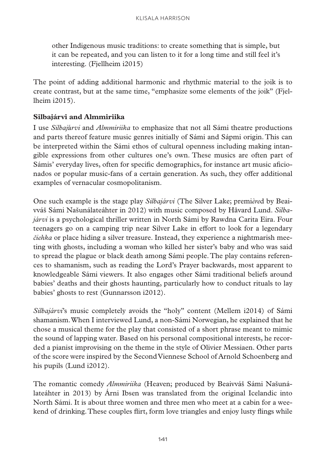other Indigenous music traditions: to create something that is simple, but it can be repeated, and you can listen to it for a long time and still feel it's interesting. (Fjellheim i2015)

The point of adding additional harmonic and rhythmic material to the joik is to create contrast, but at the same time, "emphasize some elements of the joik" (Fjellheim i2015).

#### **Silbajárvi and Almmiriika**

I use *Silbaj*á*rvi* and *Almmiriika* to emphasize that not all Sámi theatre productions and parts thereof feature music genres initially of Sámi and Sápmi origin. This can be interpreted within the Sámi ethos of cultural openness including making intangible expressions from other cultures one's own. These musics are often part of Sámis' everyday lives, often for specific demographics, for instance art music aficionados or popular music-fans of a certain generation. As such, they offer additional examples of vernacular cosmopolitanism.

One such example is the stage play *Silbajárvi* (The Silver Lake; premi*ère*d by Beaivváš Sámi Našunálateáhter in 2012) with music composed by Håvard Lund. *Silbajárvi* is a psychological thriller written in North Sámi by Rawdna Carita Eira. Four teenagers go on a camping trip near Silver Lake in effort to look for a legendary *čiehka* or place hiding a silver treasure. Instead, they experience a nightmarish meeting with ghosts, including a woman who killed her sister's baby and who was said to spread the plague or black death among Sámi people. The play contains references to shamanism, such as reading the Lord's Prayer backwards, most apparent to knowledgeable Sámi viewers. It also engages other Sámi traditional beliefs around babies' deaths and their ghosts haunting, particularly how to conduct rituals to lay babies' ghosts to rest (Gunnarsson i2012).

*Silbajárvi*'s music completely avoids the "holy" content (Mellem i2014) of Sámi shamanism. When I interviewed Lund, a non-Sámi Norwegian, he explained that he chose a musical theme for the play that consisted of a short phrase meant to mimic the sound of lapping water. Based on his personal compositional interests, he recorded a pianist improvising on the theme in the style of Olivier Messiaen. Other parts of the score were inspired by the Second Viennese School of Arnold Schoenberg and his pupils (Lund i2012).

The romantic comedy *Almmiriika* (Heaven; produced by Beaivváš Sámi Našunálateáhter in 2013) by Árni Ibsen was translated from the original Icelandic into North Sámi. It is about three women and three men who meet at a cabin for a weekend of drinking. These couples flirt, form love triangles and enjoy lusty flings while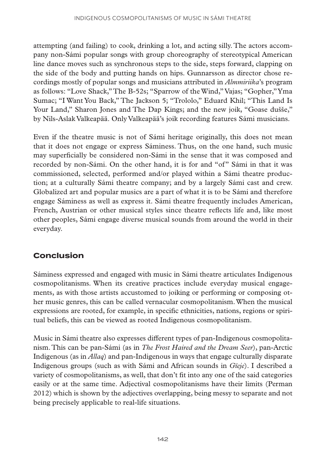attempting (and failing) to cook, drinking a lot, and acting silly. The actors accompany non-Sámi popular songs with group choreography of stereotypical American line dance moves such as synchronous steps to the side, steps forward, clapping on the side of the body and putting hands on hips. Gunnarsson as director chose recordings mostly of popular songs and musicians attributed in *Almmiriika*'s program as follows: "Love Shack," The B-52s; "Sparrow of the Wind," Vajas; "Gopher," Yma Sumac; "I Want You Back," The Jackson 5; "Trololo," Eduard Khil; "This Land Is Your Land," Sharon Jones and The Dap Kings; and the new joik, "Goase dušše," by Nils-Aslak Valkeapää. Only Valkeapää's joik recording features Sámi musicians.

Even if the theatre music is not of Sámi heritage originally, this does not mean that it does not engage or express Sáminess. Thus, on the one hand, such music may superficially be considered non-Sámi in the sense that it was composed and recorded by non-Sámi. On the other hand, it is for and "of" Sámi in that it was commissioned, selected, performed and/or played within a Sámi theatre production; at a culturally Sámi theatre company; and by a largely Sámi cast and crew. Globalized art and popular musics are a part of what it is to be Sámi and therefore engage Sáminess as well as express it. Sámi theatre frequently includes American, French, Austrian or other musical styles since theatre reflects life and, like most other peoples, Sámi engage diverse musical sounds from around the world in their everyday.

## **Conclusion**

Sáminess expressed and engaged with music in Sámi theatre articulates Indigenous cosmopolitanisms. When its creative practices include everyday musical engagements, as with those artists accustomed to joiking or performing or composing other music genres, this can be called vernacular cosmopolitanism. When the musical expressions are rooted, for example, in specific ethnicities, nations, regions or spiritual beliefs, this can be viewed as rooted Indigenous cosmopolitanism.

Music in Sámi theatre also expresses different types of pan-Indigenous cosmopolitanism. This can be pan-Sámi (as in *The Frost Haired and the Dream Seer*), pan-Arctic Indigenous (as in *Allaq*) and pan-Indigenous in ways that engage culturally disparate Indigenous groups (such as with Sámi and African sounds in *Gïeje*). I described a variety of cosmopolitanisms, as well, that don't fit into any one of the said categories easily or at the same time. Adjectival cosmopolitanisms have their limits (Perman 2012) which is shown by the adjectives overlapping, being messy to separate and not being precisely applicable to real-life situations.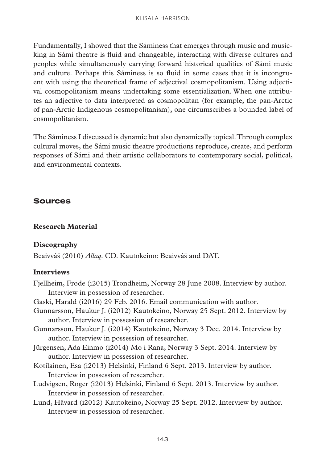Fundamentally, I showed that the Sáminess that emerges through music and musicking in Sámi theatre is fluid and changeable, interacting with diverse cultures and peoples while simultaneously carrying forward historical qualities of Sámi music and culture. Perhaps this Sáminess is so fluid in some cases that it is incongruent with using the theoretical frame of adjectival cosmopolitanism. Using adjectival cosmopolitanism means undertaking some essentialization. When one attributes an adjective to data interpreted as cosmopolitan (for example, the pan-Arctic of pan-Arctic Indigenous cosmopolitanism), one circumscribes a bounded label of cosmopolitanism.

The Sáminess I discussed is dynamic but also dynamically topical. Through complex cultural moves, the Sámi music theatre productions reproduce, create, and perform responses of Sámi and their artistic collaborators to contemporary social, political, and environmental contexts.

#### **Sources**

#### **Research Material**

#### **Discography**

Beaivváš (2010) *Allaq*. CD. Kautokeino: Beaivváš and DAT.

#### **Interviews**

- Fjellheim, Frode (i2015) Trondheim, Norway 28 June 2008. Interview by author. Interview in possession of researcher.
- Gaski, Harald (i2016) 29 Feb. 2016. Email communication with author.
- Gunnarsson, Haukur J. (i2012) Kautokeino, Norway 25 Sept. 2012. Interview by author. Interview in possession of researcher.
- Gunnarsson, Haukur J. (i2014) Kautokeino, Norway 3 Dec. 2014. Interview by author. Interview in possession of researcher.
- Jürgensen, Ada Einmo (i2014) Mo i Rana, Norway 3 Sept. 2014. Interview by author. Interview in possession of researcher.
- Kotilainen, Esa (i2013) Helsinki, Finland 6 Sept. 2013. Interview by author. Interview in possession of researcher.
- Ludvigsen, Roger (i2013) Helsinki, Finland 6 Sept. 2013. Interview by author. Interview in possession of researcher.
- Lund, Håvard (i2012) Kautokeino, Norway 25 Sept. 2012. Interview by author. Interview in possession of researcher.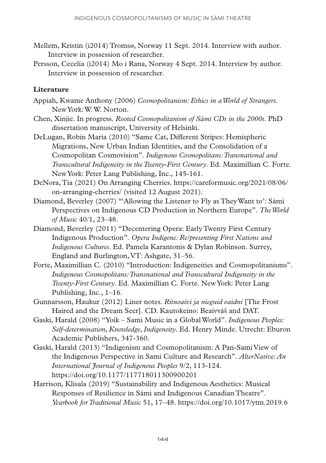- Mellem, Kristin (i2014) Tromsø, Norway 11 Sept. 2014. Interview with author. Interview in possession of researcher.
- Persson, Cecelia (i2014) Mo i Rana, Norway 4 Sept. 2014. Interview by author. Interview in possession of researcher.

#### **Literature**

- Appiah, Kwame Anthony (2006) *Cosmopolitanism: Ethics in a World of Strangers*. New York: W. W. Norton.
- Chen, Xinjie. In progress. *Rooted Cosmopolitanism of Sámi CDs in the 2000s*. PhD dissertation manuscript, University of Helsinki.
- DeLugan, Robin Maria (2010) "Same Cat, Different Stripes: Hemispheric Migrations, New Urban Indian Identities, and the Consolidation of a Cosmopolitan Cosmovision". *Indigenous Cosmopolitans: Transnational and Transcultural Indigeneity in the Twenty-First Century*. Ed. Maximillian C. Forte. New York: Peter Lang Publishing, Inc., 145-161.
- DeNora, Tia (2021) On Arranging Cherries. [https://careformusic.org/2021/08/06/](https://careformusic.org/2021/08/06/on-arranging-cherries/?fbclid=IwAR0svGPcBTsdZld65sdMH1uIhnKNcLvgBYl9klYQLmZ0fMJ9uSYHglN7E78) [on-arranging-cherries/](https://careformusic.org/2021/08/06/on-arranging-cherries/?fbclid=IwAR0svGPcBTsdZld65sdMH1uIhnKNcLvgBYl9klYQLmZ0fMJ9uSYHglN7E78) (visited 12 August 2021).
- Diamond, Beverley (2007) "'Allowing the Listener to Fly as They Want to': Sámi Perspectives on Indigenous CD Production in Northern Europe". *The World of Music* 40/1, 23–48.
- Diamond, Beverley (2011) "Decentering Opera: Early Twenty First Century Indigenous Production". *Opera Indigene: Re/presenting First Nations and Indigenous Cultures*. Ed. Pamela Karantonis & Dylan Robinson. Surrey, England and Burlington, VT: Ashgate, 31–56.
- Forte, Maximillian C. (2010) "Introduction: Indigeneities and Cosmopolitanisms". *Indigenous Cosmopolitans: Transnational and Transcultural Indigeneity in the Twenty-First Century*. Ed. Maximillian C. Forte. New York: Peter Lang Publishing, Inc., 1–16.
- Gunnarsson, Haukur (2012) Liner notes. *Ritnoaivi ja nieguid oaidni* [The Frost Haired and the Dream Seer]. CD. Kautokeino: Beaivváš and DAT.
- Gaski, Harald (2008) "Yoik Sami Music in a Global World". *Indigenous Peoples: Self-determination, Knowledge, Indigeneity*. Ed. Henry Minde. Utrecht: Eburon Academic Publishers, 347-360.
- Gaski, Harald (2013) "Indigenism and Cosmopolitanism: A Pan-Sami View of the Indigenous Perspective in Sami Culture and Research". *AlterNative: An International Journal of Indigenous Peoples* 9/2, 113-124. <https://doi.org/10.1177/117718011300900201>
- Harrison, Klisala (2019) "Sustainability and Indigenous Aesthetics: Musical Responses of Resilience in Sámi and Indigenous Canadian Theatre". *Yearbook for Traditional Music* 51, 17–48. <https://doi.org/10.1017/ytm.2019.6>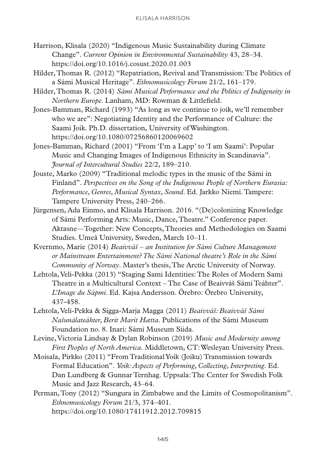- Harrison, Klisala (2020) "Indigenous Music Sustainability during Climate Change". *Current Opinion in Environmental Sustainability* 43, 28–34. <https://doi.org/10.1016/j.cosust.2020.01.003>
- Hilder, Thomas R. (2012) "Repatriation, Revival and Transmission: The Politics of a Sámi Musical Heritage". *Ethnomusicology Forum* 21/2, 161–179.
- Hilder, Thomas R. (2014) *Sámi Musical Performance and the Politics of Indigeneity in Northern Europe*. Lanham, MD: Rowman & Littlefield.
- Jones-Bamman, Richard (1993) "As long as we continue to joik, we'll remember who we are": Negotiating Identity and the Performance of Culture: the Saami Joik. Ph.D. dissertation, University of Washington. <https://doi.org/10.1080/07256860120069602>
- Jones-Bamman, Richard (2001) "From 'I'm a Lapp' to 'I am Saami': Popular Music and Changing Images of Indigenous Ethnicity in Scandinavia". *Journal of Intercultural Studies* 22/2, 189–210.
- Jouste, Marko (2009) "Traditional melodic types in the music of the Sámi in Finland". *Perspectives on the Song of the Indigenous People of Northern Eurasia: Performance, Genres, Musical Syntax, Sound*. Ed. Jarkko Niemi. Tampere: Tampere University Press, 240–266.
- Jürgensen, Ada Einmo, and Klisala Harrison. 2016. "(De)colonizing Knowledge of Sámi Performing Arts: Music, Dance, Theatre." Conference paper. Aktasne—Together: New Concepts, Theories and Methodologies on Saami Studies. Umeå University, Sweden, March 10–11.
- Kvernmo, Marie (2014) *Beaivváš an Institution for Sámi Culture Management or Mainstream Entertainment? The Sámi National theatre's Role in the Sámi Community of Norway*. Master's thesis, The Arctic University of Norway.
- Lehtola, Veli-Pekka (2013) "Staging Sami Identities: The Roles of Modern Sami Theatre in a Multicultural Context – The Case of Beaivváš Sámi Teáhter". *L'Image du Sápmi*. Ed. Kajsa Andersson. Örebro: Örebro University, 437-458.
- Lehtola, Veli-Pekka & Sigga-Marja Magga (2011) *Beaivváš: Beaivváš Sámi Našunálateáhter, Berit Marit Hætta*. Publications of the Sámi Museum Foundation no. 8. Inari: Sámi Museum Siida.
- Levine, Victoria Lindsay & Dylan Robinson (2019) *Music and Modernity among First Peoples of North America*. Middletown, CT: Wesleyan University Press.
- Moisala, Pirkko (2011) "From Traditional Yoik (Joiku) Transmission towards Formal Education". *Yoik: Aspects of Performing, Collecting, Interpreting*. Ed. Dan Lundberg & Gunnar Ternhag. Uppsala: The Center for Swedish Folk Music and Jazz Research, 43–64.
- Perman, Tony (2012) "Sungura in Zimbabwe and the Limits of Cosmopolitanism". *Ethnomusicology Forum* 21/3, 374–401. <https://doi.org/10.1080/17411912.2012.709815>